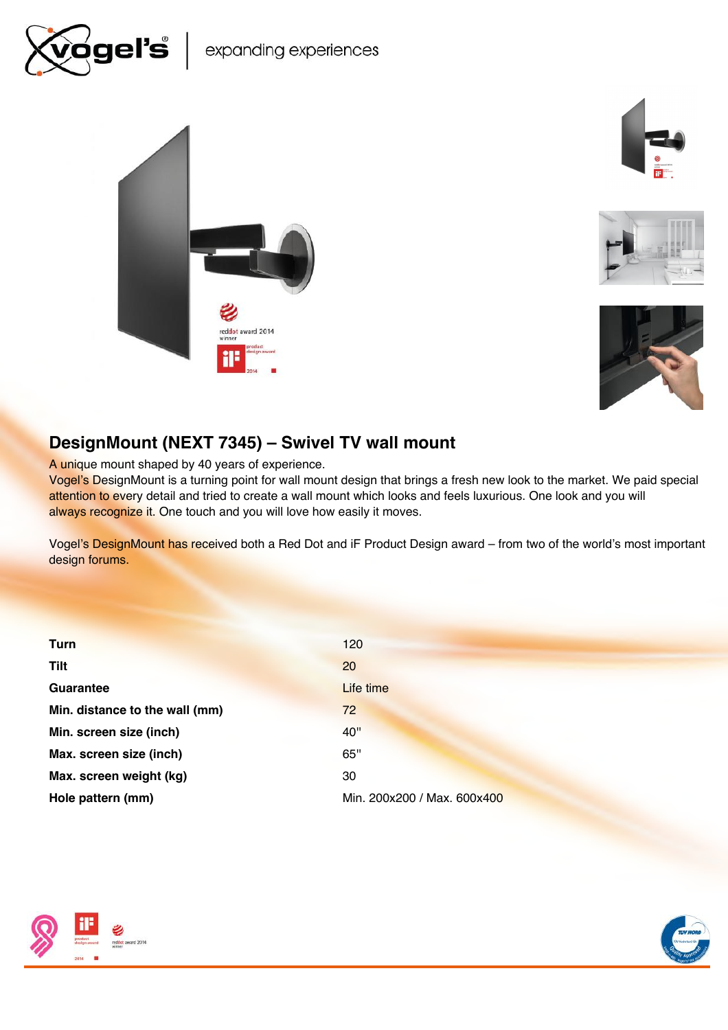







# DesignMount (NEXT 7345) – Swivel TV wall mount

reddot award 2014

A unique mount shaped by 40 years of experience.

Vogel's DesignMount is a turning point for wall mount design that brings a fresh new look to the market. We paid special attention to every detail and tried to create a wall mount which looks and feels luxurious. One look and you will always recognize it. One touch and you will love how easily it moves.

Vogel's DesignMount has received both a Red Dot and iF Product Design award – from two of the world's most important design forums.

| <b>Turn</b>                    | 120                         |
|--------------------------------|-----------------------------|
| <b>Tilt</b>                    | 20                          |
| Guarantee                      | Life time                   |
| Min. distance to the wall (mm) | 72                          |
| Min. screen size (inch)        | 40"                         |
| Max. screen size (inch)        | 65"                         |
| Max. screen weight (kg)        | 30                          |
| Hole pattern (mm)              | Min. 200x200 / Max. 600x400 |